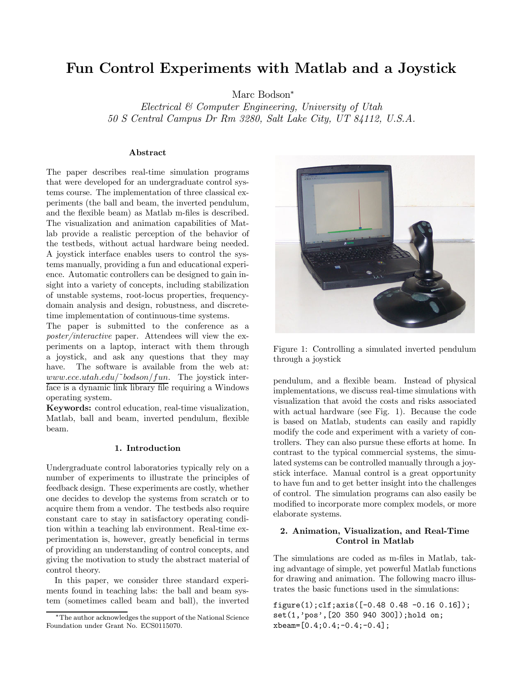# Fun Control Experiments with Matlab and a Joystick

Marc Bodson<sup>∗</sup>

Electrical & Computer Engineering, University of Utah 50 S Central Campus Dr Rm 3280, Salt Lake City, UT 84112, U.S.A.

### Abstract

The paper describes real-time simulation programs that were developed for an undergraduate control systems course. The implementation of three classical experiments (the ball and beam, the inverted pendulum, and the flexible beam) as Matlab m-files is described. The visualization and animation capabilities of Matlab provide a realistic perception of the behavior of the testbeds, without actual hardware being needed. A joystick interface enables users to control the systems manually, providing a fun and educational experience. Automatic controllers can be designed to gain insight into a variety of concepts, including stabilization of unstable systems, root-locus properties, frequencydomain analysis and design, robustness, and discretetime implementation of continuous-time systems.

The paper is submitted to the conference as a poster/interactive paper. Attendees will view the experiments on a laptop, interact with them through a joystick, and ask any questions that they may have. The software is available from the web at:  $www.ece.utah.edu/~bodson/fun.$  The joystick interface is a dynamic link library file requiring a Windows operating system.

Keywords: control education, real-time visualization, Matlab, ball and beam, inverted pendulum, flexible beam.

## 1. Introduction

Undergraduate control laboratories typically rely on a number of experiments to illustrate the principles of feedback design. These experiments are costly, whether one decides to develop the systems from scratch or to acquire them from a vendor. The testbeds also require constant care to stay in satisfactory operating condition within a teaching lab environment. Real-time experimentation is, however, greatly beneficial in terms of providing an understanding of control concepts, and giving the motivation to study the abstract material of control theory.

In this paper, we consider three standard experiments found in teaching labs: the ball and beam system (sometimes called beam and ball), the inverted



Figure 1: Controlling a simulated inverted pendulum through a joystick

pendulum, and a flexible beam. Instead of physical implementations, we discuss real-time simulations with visualization that avoid the costs and risks associated with actual hardware (see Fig. 1). Because the code is based on Matlab, students can easily and rapidly modify the code and experiment with a variety of controllers. They can also pursue these efforts at home. In contrast to the typical commercial systems, the simulated systems can be controlled manually through a joystick interface. Manual control is a great opportunity to have fun and to get better insight into the challenges of control. The simulation programs can also easily be modified to incorporate more complex models, or more elaborate systems.

## 2. Animation, Visualization, and Real-Time Control in Matlab

The simulations are coded as m-files in Matlab, taking advantage of simple, yet powerful Matlab functions for drawing and animation. The following macro illustrates the basic functions used in the simulations:

figure(1);clf;axis([-0.48 0.48 -0.16 0.16]); set(1,'pos',[20 350 940 300]);hold on; xbeam=[0.4;0.4;-0.4;-0.4];

<sup>∗</sup>The author acknowledges the support of the National Science Foundation under Grant No. ECS0115070.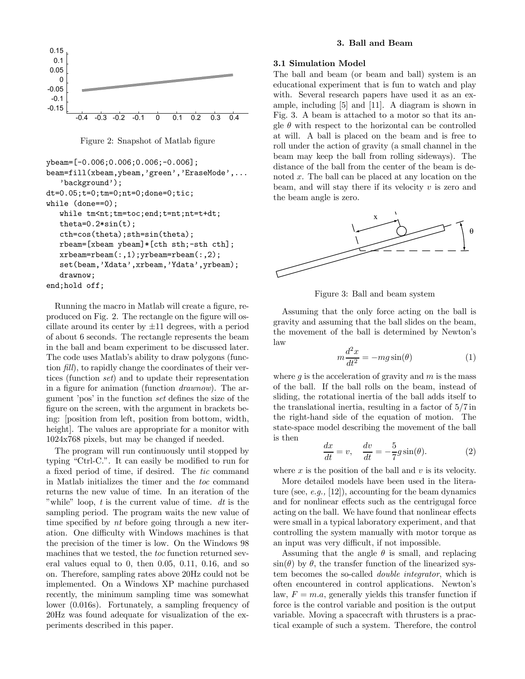

Figure 2: Snapshot of Matlab figure

```
ybeam=[-0.006;0.006;0.006;-0.006];
beam=fill(xbeam,ybeam,'green','EraseMode',...
   'background');
dt=0.05;t=0;tm=0;nt=0;done=0;tic;
while (done==0);
   while tm<nt;tm=toc;end;t=nt;nt=t+dt;
   theta=0.2*sin(t);
   cth=cos(theta);sth=sin(theta);
   rbeam=[xbeam ybeam]*[cth sth;-sth cth];
   xrbeam=rbeam(:,1);yrbeam=rbeam(:,2);
   set(beam,'Xdata',xrbeam,'Ydata',yrbeam);
   drawnow;
end;hold off;
```
Running the macro in Matlab will create a figure, reproduced on Fig. 2. The rectangle on the figure will oscillate around its center by  $\pm 11$  degrees, with a period of about 6 seconds. The rectangle represents the beam in the ball and beam experiment to be discussed later. The code uses Matlab's ability to draw polygons (function fill), to rapidly change the coordinates of their vertices (function set) and to update their representation in a figure for animation (function drawnow). The argument 'pos' in the function set defines the size of the figure on the screen, with the argument in brackets being: [position from left, position from bottom, width, height]. The values are appropriate for a monitor with 1024x768 pixels, but may be changed if needed.

The program will run continuously until stopped by typing "Ctrl-C.". It can easily be modified to run for a fixed period of time, if desired. The tic command in Matlab initializes the timer and the toc command returns the new value of time. In an iteration of the "while" loop,  $t$  is the current value of time.  $dt$  is the sampling period. The program waits the new value of time specified by *nt* before going through a new iteration. One difficulty with Windows machines is that the precision of the timer is low. On the Windows 98 machines that we tested, the toc function returned several values equal to 0, then 0.05, 0.11, 0.16, and so on. Therefore, sampling rates above 20Hz could not be implemented. On a Windows XP machine purchased recently, the minimum sampling time was somewhat lower (0.016s). Fortunately, a sampling frequency of 20Hz was found adequate for visualization of the experiments described in this paper.

## 3. Ball and Beam

## 3.1 Simulation Model

The ball and beam (or beam and ball) system is an educational experiment that is fun to watch and play with. Several research papers have used it as an example, including [5] and [11]. A diagram is shown in Fig. 3. A beam is attached to a motor so that its angle  $\theta$  with respect to the horizontal can be controlled at will. A ball is placed on the beam and is free to roll under the action of gravity (a small channel in the beam may keep the ball from rolling sideways). The distance of the ball from the center of the beam is denoted x. The ball can be placed at any location on the beam, and will stay there if its velocity  $v$  is zero and the beam angle is zero.



Figure 3: Ball and beam system

Assuming that the only force acting on the ball is gravity and assuming that the ball slides on the beam, the movement of the ball is determined by Newton's law

$$
m\frac{d^2x}{dt^2} = -mg\sin(\theta)
$$
 (1)

where q is the acceleration of gravity and  $m$  is the mass of the ball. If the ball rolls on the beam, instead of sliding, the rotational inertia of the ball adds itself to the translational inertia, resulting in a factor of 5/7 in the right-hand side of the equation of motion. The state-space model describing the movement of the ball is then

$$
\frac{dx}{dt} = v, \quad \frac{dv}{dt} = -\frac{5}{7}g\sin(\theta). \tag{2}
$$

where  $x$  is the position of the ball and  $v$  is its velocity.

More detailed models have been used in the literature (see,  $e.g., [12]$ ), accounting for the beam dynamics and for nonlinear effects such as the centrigugal force acting on the ball. We have found that nonlinear effects were small in a typical laboratory experiment, and that controlling the system manually with motor torque as an input was very difficult, if not impossible.

Assuming that the angle  $\theta$  is small, and replacing  $\sin(\theta)$  by  $\theta$ , the transfer function of the linearized system becomes the so-called double integrator, which is often encountered in control applications. Newton's law,  $F = m.a$ , generally yields this transfer function if force is the control variable and position is the output variable. Moving a spacecraft with thrusters is a practical example of such a system. Therefore, the control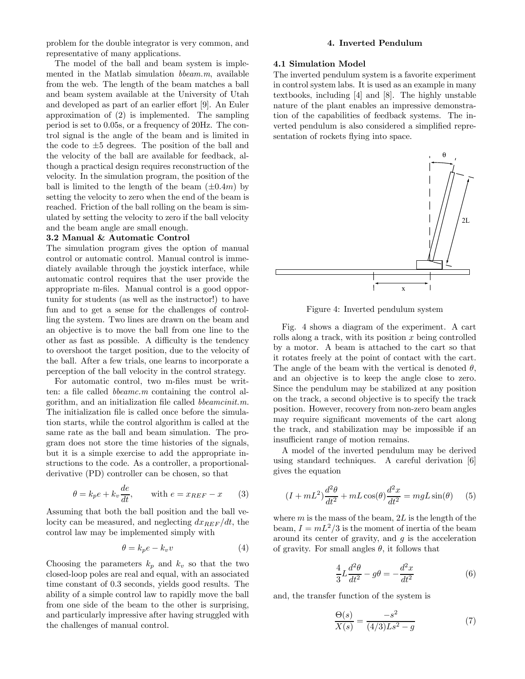problem for the double integrator is very common, and representative of many applications.

The model of the ball and beam system is implemented in the Matlab simulation  $bbeam.m$ , available from the web. The length of the beam matches a ball and beam system available at the University of Utah and developed as part of an earlier effort [9]. An Euler approximation of (2) is implemented. The sampling period is set to 0.05s, or a frequency of 20Hz. The control signal is the angle of the beam and is limited in the code to  $\pm 5$  degrees. The position of the ball and the velocity of the ball are available for feedback, although a practical design requires reconstruction of the velocity. In the simulation program, the position of the ball is limited to the length of the beam  $(\pm 0.4m)$  by setting the velocity to zero when the end of the beam is reached. Friction of the ball rolling on the beam is simulated by setting the velocity to zero if the ball velocity and the beam angle are small enough.

#### 3.2 Manual & Automatic Control

The simulation program gives the option of manual control or automatic control. Manual control is immediately available through the joystick interface, while automatic control requires that the user provide the appropriate m-files. Manual control is a good opportunity for students (as well as the instructor!) to have fun and to get a sense for the challenges of controlling the system. Two lines are drawn on the beam and an objective is to move the ball from one line to the other as fast as possible. A difficulty is the tendency to overshoot the target position, due to the velocity of the ball. After a few trials, one learns to incorporate a perception of the ball velocity in the control strategy.

For automatic control, two m-files must be written: a file called bbeamc.m containing the control algorithm, and an initialization file called bbeamcinit.m. The initialization file is called once before the simulation starts, while the control algorithm is called at the same rate as the ball and beam simulation. The program does not store the time histories of the signals, but it is a simple exercise to add the appropriate instructions to the code. As a controller, a proportionalderivative (PD) controller can be chosen, so that

$$
\theta = k_p e + k_v \frac{de}{dt}, \quad \text{with } e = x_{REF} - x \quad (3)
$$

Assuming that both the ball position and the ball velocity can be measured, and neglecting  $dx_{REF}/dt$ , the control law may be implemented simply with

$$
\theta = k_p e - k_v v \tag{4}
$$

Choosing the parameters  $k_p$  and  $k_v$  so that the two closed-loop poles are real and equal, with an associated time constant of 0.3 seconds, yields good results. The ability of a simple control law to rapidly move the ball from one side of the beam to the other is surprising, and particularly impressive after having struggled with the challenges of manual control.

## 4. Inverted Pendulum

### 4.1 Simulation Model

The inverted pendulum system is a favorite experiment in control system labs. It is used as an example in many textbooks, including [4] and [8]. The highly unstable nature of the plant enables an impressive demonstration of the capabilities of feedback systems. The inverted pendulum is also considered a simplified representation of rockets flying into space.



Figure 4: Inverted pendulum system

Fig. 4 shows a diagram of the experiment. A cart rolls along a track, with its position x being controlled by a motor. A beam is attached to the cart so that it rotates freely at the point of contact with the cart. The angle of the beam with the vertical is denoted  $\theta$ , and an objective is to keep the angle close to zero. Since the pendulum may be stabilized at any position on the track, a second objective is to specify the track position. However, recovery from non-zero beam angles may require significant movements of the cart along the track, and stabilization may be impossible if an insufficient range of motion remains.

A model of the inverted pendulum may be derived using standard techniques. A careful derivation [6] gives the equation

$$
(I + mL^2)\frac{d^2\theta}{dt^2} + mL\cos(\theta)\frac{d^2x}{dt^2} = mgL\sin(\theta)
$$
 (5)

where  $m$  is the mass of the beam,  $2L$  is the length of the beam,  $I = mL^2/3$  is the moment of inertia of the beam around its center of gravity, and  $q$  is the acceleration of gravity. For small angles  $\theta$ , it follows that

$$
\frac{4}{3}L\frac{d^2\theta}{dt^2} - g\theta = -\frac{d^2x}{dt^2}
$$
 (6)

and, the transfer function of the system is

$$
\frac{\Theta(s)}{X(s)} = \frac{-s^2}{(4/3)Ls^2 - g} \tag{7}
$$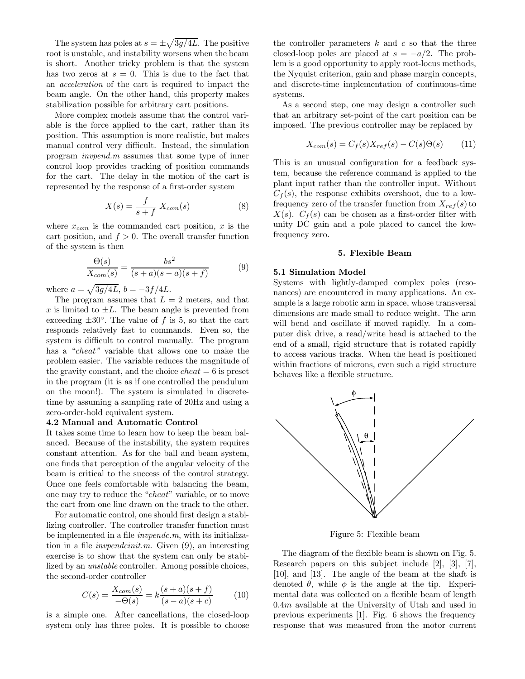The system has poles at  $s = \pm \sqrt{3g/4L}$ . The positive root is unstable, and instability worsens when the beam is short. Another tricky problem is that the system has two zeros at  $s = 0$ . This is due to the fact that an acceleration of the cart is required to impact the beam angle. On the other hand, this property makes stabilization possible for arbitrary cart positions.

More complex models assume that the control variable is the force applied to the cart, rather than its position. This assumption is more realistic, but makes manual control very difficult. Instead, the simulation program invpend.m assumes that some type of inner control loop provides tracking of position commands for the cart. The delay in the motion of the cart is represented by the response of a first-order system

$$
X(s) = \frac{f}{s+f} X_{com}(s)
$$
 (8)

where  $x_{com}$  is the commanded cart position, x is the cart position, and  $f > 0$ . The overall transfer function of the system is then

$$
\frac{\Theta(s)}{X_{com}(s)} = \frac{bs^2}{(s+a)(s-a)(s+f)}\tag{9}
$$

where  $a = \sqrt{3g/4L}$ ,  $b = -3f/4L$ .

The program assumes that  $L = 2$  meters, and that x is limited to  $\pm L$ . The beam angle is prevented from exceeding  $\pm 30^\circ$ . The value of f is 5, so that the cart responds relatively fast to commands. Even so, the system is difficult to control manually. The program has a "*cheat*" variable that allows one to make the problem easier. The variable reduces the magnitude of the gravity constant, and the choice  $cheat = 6$  is preset in the program (it is as if one controlled the pendulum on the moon!). The system is simulated in discretetime by assuming a sampling rate of 20Hz and using a zero-order-hold equivalent system.

## 4.2 Manual and Automatic Control

It takes some time to learn how to keep the beam balanced. Because of the instability, the system requires constant attention. As for the ball and beam system, one finds that perception of the angular velocity of the beam is critical to the success of the control strategy. Once one feels comfortable with balancing the beam, one may try to reduce the "cheat" variable, or to move the cart from one line drawn on the track to the other.

For automatic control, one should first design a stabilizing controller. The controller transfer function must be implemented in a file invpendc.m, with its initialization in a file invpendcinit.m. Given (9), an interesting exercise is to show that the system can only be stabilized by an unstable controller. Among possible choices, the second-order controller

$$
C(s) = \frac{X_{com}(s)}{-\Theta(s)} = k \frac{(s+a)(s+f)}{(s-a)(s+c)}\tag{10}
$$

is a simple one. After cancellations, the closed-loop system only has three poles. It is possible to choose the controller parameters  $k$  and  $c$  so that the three closed-loop poles are placed at  $s = -a/2$ . The problem is a good opportunity to apply root-locus methods, the Nyquist criterion, gain and phase margin concepts, and discrete-time implementation of continuous-time systems.

As a second step, one may design a controller such that an arbitrary set-point of the cart position can be imposed. The previous controller may be replaced by

$$
X_{com}(s) = C_f(s)X_{ref}(s) - C(s)\Theta(s)
$$
 (11)

This is an unusual configuration for a feedback system, because the reference command is applied to the plant input rather than the controller input. Without  $C_f(s)$ , the response exhibits overshoot, due to a lowfrequency zero of the transfer function from  $X_{ref}(s)$  to  $X(s)$ .  $C_f(s)$  can be chosen as a first-order filter with unity DC gain and a pole placed to cancel the lowfrequency zero.

## 5. Flexible Beam

#### 5.1 Simulation Model

Systems with lightly-damped complex poles (resonances) are encountered in many applications. An example is a large robotic arm in space, whose transversal dimensions are made small to reduce weight. The arm will bend and oscillate if moved rapidly. In a computer disk drive, a read/write head is attached to the end of a small, rigid structure that is rotated rapidly to access various tracks. When the head is positioned within fractions of microns, even such a rigid structure behaves like a flexible structure.



Figure 5: Flexible beam

The diagram of the flexible beam is shown on Fig. 5. Research papers on this subject include [2], [3], [7], [10], and [13]. The angle of the beam at the shaft is denoted  $\theta$ , while  $\phi$  is the angle at the tip. Experimental data was collected on a flexible beam of length 0.4m available at the University of Utah and used in previous experiments [1]. Fig. 6 shows the frequency response that was measured from the motor current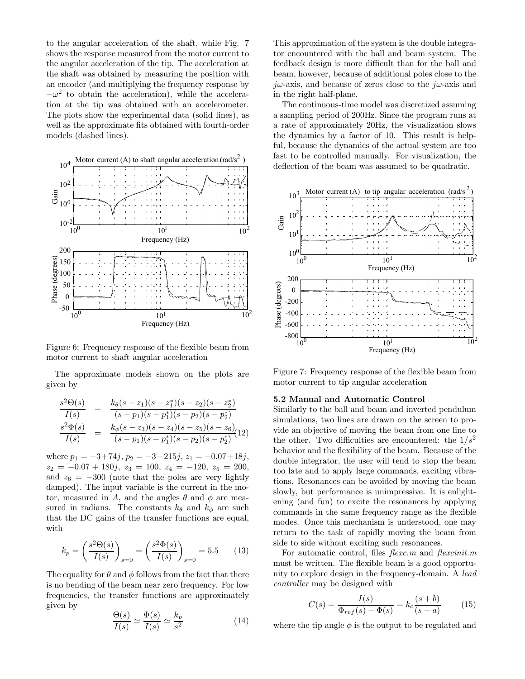to the angular acceleration of the shaft, while Fig. 7 shows the response measured from the motor current to the angular acceleration of the tip. The acceleration at the shaft was obtained by measuring the position with an encoder (and multiplying the frequency response by  $-\omega^2$  to obtain the acceleration), while the acceleration at the tip was obtained with an accelerometer. The plots show the experimental data (solid lines), as well as the approximate fits obtained with fourth-order models (dashed lines).



Figure 6: Frequency response of the flexible beam from motor current to shaft angular acceleration

The approximate models shown on the plots are given by

$$
\frac{s^2\Theta(s)}{I(s)} = \frac{k_\theta(s-z_1)(s-z_1^*)(s-z_2)(s-z_2^*)}{(s-p_1)(s-p_1^*)(s-p_2)(s-p_2^*)}
$$

$$
\frac{s^2\Phi(s)}{I(s)} = \frac{k_\phi(s-z_3)(s-z_4)(s-z_5)(s-z_6)}{(s-p_1)(s-p_1^*)(s-p_2)(s-p_2^*)}(12)
$$

where  $p_1 = -3+74j$ ,  $p_2 = -3+215j$ ,  $z_1 = -0.07+18j$ ,  $z_2 = -0.07 + 180j$ ,  $z_3 = 100$ ,  $z_4 = -120$ ,  $z_5 = 200$ , and  $z_6 = -300$  (note that the poles are very lightly damped). The input variable is the current in the motor, measured in A, and the angles  $\theta$  and  $\phi$  are measured in radians. The constants  $k_{\theta}$  and  $k_{\phi}$  are such that the DC gains of the transfer functions are equal, with

$$
k_p = \left(\frac{s^2 \Theta(s)}{I(s)}\right)_{s=0} = \left(\frac{s^2 \Phi(s)}{I(s)}\right)_{s=0} = 5.5 \quad (13)
$$

The equality for  $\theta$  and  $\phi$  follows from the fact that there is no bending of the beam near zero frequency. For low frequencies, the transfer functions are approximately given by

$$
\frac{\Theta(s)}{I(s)} \simeq \frac{\Phi(s)}{I(s)} \simeq \frac{k_p}{s^2}
$$
 (14)

This approximation of the system is the double integrator encountered with the ball and beam system. The feedback design is more difficult than for the ball and beam, however, because of additional poles close to the  $j\omega$ -axis, and because of zeros close to the  $j\omega$ -axis and in the right half-plane.

The continuous-time model was discretized assuming a sampling period of 200Hz. Since the program runs at a rate of approximately 20Hz, the visualization slows the dynamics by a factor of 10. This result is helpful, because the dynamics of the actual system are too fast to be controlled manually. For visualization, the deflection of the beam was assumed to be quadratic.



Figure 7: Frequency response of the flexible beam from motor current to tip angular acceleration

### 5.2 Manual and Automatic Control

Similarly to the ball and beam and inverted pendulum simulations, two lines are drawn on the screen to provide an objective of moving the beam from one line to the other. Two difficulties are encountered: the  $1/s^2$ behavior and the flexibility of the beam. Because of the double integrator, the user will tend to stop the beam too late and to apply large commands, exciting vibrations. Resonances can be avoided by moving the beam slowly, but performance is unimpressive. It is enlightening (and fun) to excite the resonances by applying commands in the same frequency range as the flexible modes. Once this mechanism is understood, one may return to the task of rapidly moving the beam from side to side without exciting such resonances.

For automatic control, files  $flexcm$  and  $flexinit.m$ must be written. The flexible beam is a good opportunity to explore design in the frequency-domain. A lead controller may be designed with

$$
C(s) = \frac{I(s)}{\Phi_{ref}(s) - \Phi(s)} = k_c \frac{(s+b)}{(s+a)}\tag{15}
$$

where the tip angle  $\phi$  is the output to be regulated and